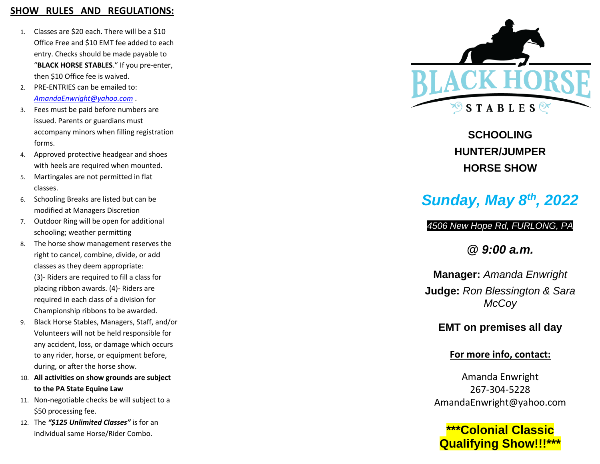## **SHOW RULES AND REGULATIONS:**

- 1. Classes are \$20 each. There will be a \$10 Office Free and \$10 EMT fee added to each entry. Checks should be made payable to "**BLACK HORSE STABLES**." If you pre-enter, then \$10 Office fee is waived.
- 2. PRE -ENTRIES can be emailed to: *[AmandaEnwright@yahoo.co](mailto:AmandaEnwright@yahoo.com) m* .
- 3. Fees must be paid before numbers are issued. Parents or guardians must accompany minors when filling registration forms.
- 4. Approved protective headgear and shoes with heels are required when mounted.
- 5. Martingales are not permitted in flat classes.
- 6. Schooling Breaks are listed but can be modified at Managers Discretion
- 7. Outdoor Ring will be open for additional schooling; weather permitting
- 8. The horse show management reserves the right to cancel, combine, divide, or add classes as they deem appropriate: (3)- Riders are required to fill a class for placing ribbon awards. ( 4 ) - Riders are required in each class of a division for Championship ribbons to be awarded.
- 9. Black Horse Stables, Managers, Staff, and/or Volunteers will not be held responsible for any accident, loss, or damage which occur s to any rider, horse, or equipment before, during, or after the horse show.
- 10. **All activities on show grounds are subject to the PA State Equine Law**
- 11. Non -negotiable checks be will subject to a \$50 processing fee.
- 12. The *"\$ 125 Unlimited Classes"* is for an individual same Horse/Rider Combo.



# **SCHOOLING HUNTER/JUMPER HORSE SHOW**

# *Sunday, May 8th, 2022*

*450 6 New Hope Rd, FURLONG, PA*

*@ 9:00 a.m.*

**Manager:** *Amanda Enwright* **Judge:** *Ron Blessington & Sara McCoy*

# **EMT on premises all day**

# **For more info, contact:**

Amanda Enwright 267 -304 -5228 AmandaEnwright@yahoo.com

**\*\*\*Colonial Classic Qualifying Show!!!\* \* \***